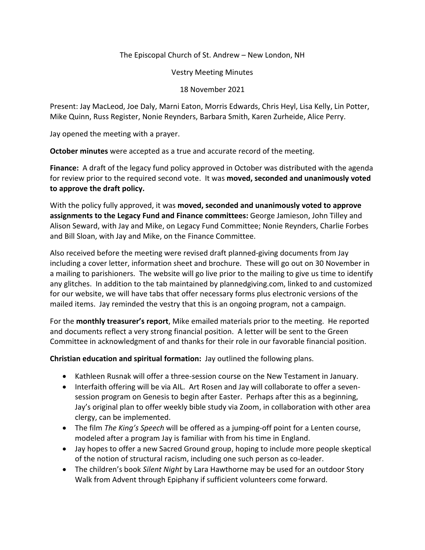The Episcopal Church of St. Andrew – New London, NH

Vestry Meeting Minutes

18 November 2021

Present: Jay MacLeod, Joe Daly, Marni Eaton, Morris Edwards, Chris Heyl, Lisa Kelly, Lin Potter, Mike Quinn, Russ Register, Nonie Reynders, Barbara Smith, Karen Zurheide, Alice Perry.

Jay opened the meeting with a prayer.

**October minutes** were accepted as a true and accurate record of the meeting.

**Finance:** A draft of the legacy fund policy approved in October was distributed with the agenda for review prior to the required second vote. It was **moved, seconded and unanimously voted to approve the draft policy.** 

With the policy fully approved, it was **moved, seconded and unanimously voted to approve assignments to the Legacy Fund and Finance committees:** George Jamieson, John Tilley and Alison Seward, with Jay and Mike, on Legacy Fund Committee; Nonie Reynders, Charlie Forbes and Bill Sloan, with Jay and Mike, on the Finance Committee.

Also received before the meeting were revised draft planned-giving documents from Jay including a cover letter, information sheet and brochure. These will go out on 30 November in a mailing to parishioners. The website will go live prior to the mailing to give us time to identify any glitches. In addition to the tab maintained by plannedgiving.com, linked to and customized for our website, we will have tabs that offer necessary forms plus electronic versions of the mailed items. Jay reminded the vestry that this is an ongoing program, not a campaign.

For the **monthly treasurer's report**, Mike emailed materials prior to the meeting. He reported and documents reflect a very strong financial position. A letter will be sent to the Green Committee in acknowledgment of and thanks for their role in our favorable financial position.

**Christian education and spiritual formation:** Jay outlined the following plans.

- Kathleen Rusnak will offer a three-session course on the New Testament in January.
- Interfaith offering will be via AIL. Art Rosen and Jay will collaborate to offer a sevensession program on Genesis to begin after Easter. Perhaps after this as a beginning, Jay's original plan to offer weekly bible study via Zoom, in collaboration with other area clergy, can be implemented.
- The film *The King's Speech* will be offered as a jumping-off point for a Lenten course, modeled after a program Jay is familiar with from his time in England.
- Jay hopes to offer a new Sacred Ground group, hoping to include more people skeptical of the notion of structural racism, including one such person as co-leader.
- The children's book *Silent Night* by Lara Hawthorne may be used for an outdoor Story Walk from Advent through Epiphany if sufficient volunteers come forward.